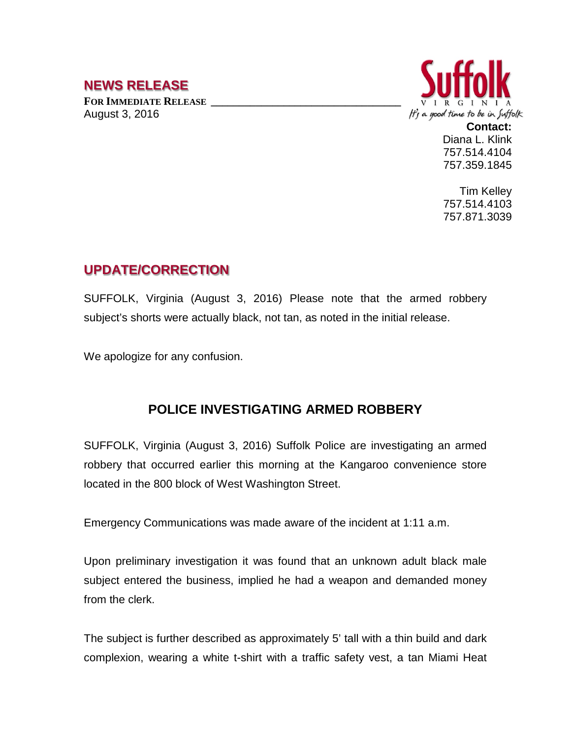## **NEWS RELEASE**

FOR **IMMEDIATE RELEASE** August 3, 2016



**Contact:** Diana L. Klink 757.514.4104 757.359.1845

Tim Kelley 757.514.4103 757.871.3039

## **UPDATE/CORRECTION**

SUFFOLK, Virginia (August 3, 2016) Please note that the armed robbery subject's shorts were actually black, not tan, as noted in the initial release.

We apologize for any confusion.

## **POLICE INVESTIGATING ARMED ROBBERY**

SUFFOLK, Virginia (August 3, 2016) Suffolk Police are investigating an armed robbery that occurred earlier this morning at the Kangaroo convenience store located in the 800 block of West Washington Street.

Emergency Communications was made aware of the incident at 1:11 a.m.

Upon preliminary investigation it was found that an unknown adult black male subject entered the business, implied he had a weapon and demanded money from the clerk.

The subject is further described as approximately 5' tall with a thin build and dark complexion, wearing a white t-shirt with a traffic safety vest, a tan Miami Heat